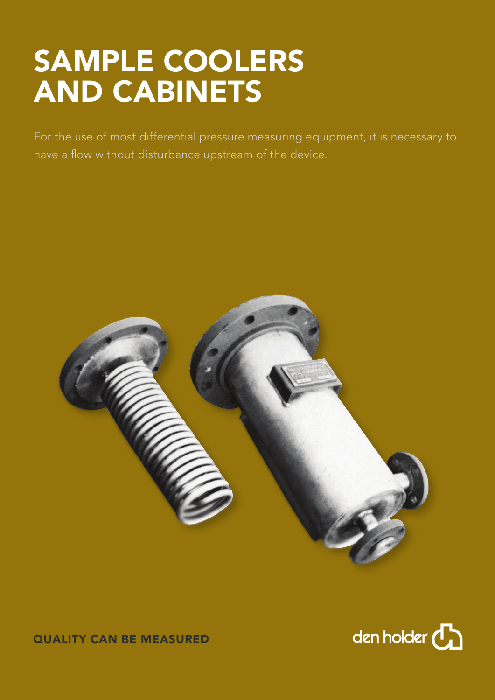## SAMPLE COOLERS AND CABINETS

For the use of most differential pressure measuring equipment, it is necessary to have a flow without disturbance upstream of the device.





QUALITY CAN BE MEASURED